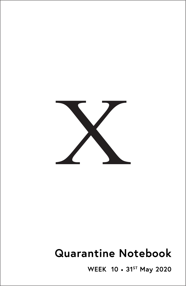

# **Quarantine Notebook**

**WEEK 10** • **31ST May 2020**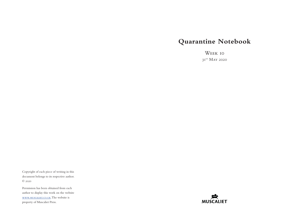# **Quarantine Notebook**

WEEK 10 31<sup>st</sup> May 2020

Copyright of each piece of writing in this document belongs to its respective author. © 2020

Permission has been obtained from each author to display this work on the website [www.muscaliet.co.uk.](https://www.muscaliet.co.uk) The website is property of Muscaliet Press.

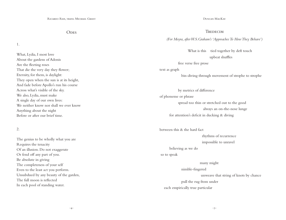**ODES** 

1.

What, Lydia, I most love About the gardens of Adonis Are the fleeting roses That die the very day they flower; Eternity, for them, is daylight: They open when the sun is at its height, And fade before Apollo's run his course Across what's visible of the sky. We also, Lydia, must make A single day of our own lives: We neither know nor shall we ever know Anything about the night Before or after our brief time.

# 2.

The genius to be wholly what you are Requires the tenacity Of an illusion. Do not exaggerate Or fend off any part of you. Be absolute in giving The completeness of your self Even to the least act you perform. Unsubdued by any beauty of the garden, The full moon is reflected In each pool of standing water.

#### Duncan MacKay

## **TREDECIM**

*(For Moyra, after W.S.Graham's 'Approaches To How They Behave')*

What is this tied together by deft touch upbeat shuffles

## free verse free prose

# text as graph

bin-diving through movement of strophe to strophe

 by metrics of difference of phoneme or phrase spread too thin or stretched out to the good always an on-the-nose lunge for attention's deficit in ducking & diving

between this & the hard fact

 rhythms of recurrence impossible to unravel

believing as we do

## so to speak

many might

# nimble-fingered

unweave that string of knots by chance

pull the rug from under

each empirically true particular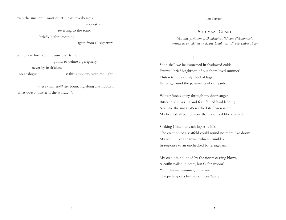even the smallest most quiet that reverberates

modestly

reverting to the tonic

briefly before escaping

again from all signature

while new line new measure asserts itself

points to define a periphery

never by itself alone

no analogue just this simplicity with the light

 these twin *aegithalos* bouncing along a windowsill 'what does it matter if the words…'.

#### Ian Brinton

# AUTUMNAL CHANT

*(An interpretation of Baudelaire's 'Chant d'Automne', written as an address to Marie Daubrun, 30<sup>th</sup> November 1859*)

I

Soon shall we be immersed in shadowed cold; Farewell brief brightness of our short-lived summer! I listen to the deathly thud of logs Echoing round the pavements of our yards.

Winter forces entry through my door: anger, Bitterness, shivering and fear: forced hard labour; And like the sun that's reached its frozen nadir My heart shall be no more than one iced block of red.

Shaking I listen to each log as it falls; The erection of a scaffold could sound no more like doom. My soul is like the tower which crumbles In response to an unchecked battering-ram.

My cradle is pounded by the never-ceasing blows, A coffin nailed in haste, but O for whom? Yesterday was summer, enter autumn! The pealing of a bell announces 'Gone'!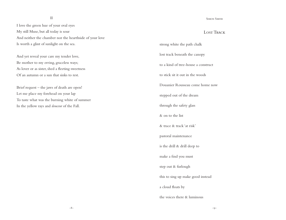II

I love the green hue of your oval eyes My still Muse, but all today is sour And neither the chamber nor the hearthside of your love Is worth a glint of sunlight on the sea.

And yet reveal your care my tender love, Be mother to my erring, graceless ways; As lover or as sister, shed a fleeting sweetness Of an autumn or a sun that sinks to rest.

Brief request – the jaws of death are open! Let me place my forehead on your lap To taste what was the burning white of summer In the yellow rays and *douceur* of the Fall.

#### SIMON SMITH

# LOST TRACK

strong white the path chalk lost track beneath the canopy to a kind of tree-house a construct to stick sit it out in the woods Douanier Rousseau come home now stepped out of the dream through the safety glass & on to the list & trace & track 'at risk' pastoral maintenance is the drill & drill deep to make a find you must step out & furlough this to sing up make good instead a cloud floats by the voices there & luminous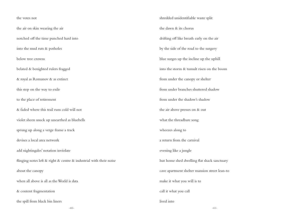# the votes not the air on skin wearing the air notched off the time punched hard into into the mud ruts & potholes below tree crowns belated & benighted rulers fragged & royal as Romanov & as extinct this step on the way to exile to the place of retirement & faded where this trail runs cold will not violet sheen snuck up unearthed as bluebells sprung up along a verge frame a track devises a local area network add nightingales' notation inviolate flinging notes left & right & centre & industrial with their noise about the canopy when all above is all as the World is data & content fragmentation the spill from black bin liners

shredded unidentifiable waste split the dawn & its chorus drifting off like breath early on the air by the side of the road to the surgery blue surges up the incline up the uphill into the storm & tumult risen on the boom from under the canopy or shelter from under branches shuttered shadow from under the shadow's shadow the air above presses on & out what the threadbare song wheezes along to a return from the carnival evening like a jungle hut home shed dwelling flat shack sanctuary cave apartment shelter mansion street lean-to make it what you will is to call it what you call lived into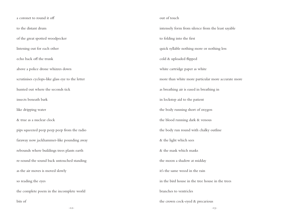-12- -13 a coronet to round it off to the distant drum of the great spotted woodpecker listening out for each other echo back off the trunk above a police drone whizzes down scrutinises cyclops-like glass eye to the letter hunted out where the seconds tick insects beneath bark like dripping water & true as a nuclear clock pips squeezed peep peep peep from the radio faraway now jackhammer-like pounding away rebounds where buildings trees plants earth re-sound the sound back untouched standing as the air moves is moved slowly so reading the eyes the complete poem in the incomplete world bits of out of touch to folding into the first cold & uploaded flipped & the light which sees branches to ventricles

intensely form from silence from the least sayable quick syllable nothing more or nothing less white cartridge paper as white more than white more particular more accurate more as breathing air is eased in breathing in in lockstep aid to the patient the body running short of oxygen the blood running dark & venous the body run round with chalky outline & the mask which masks the moon a shadow at midday it's the same wood in the rain in the bird house in the tree house in the trees the crown cock-eyed & precarious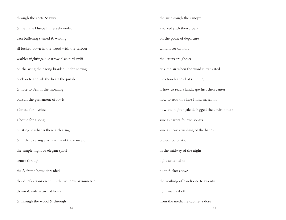through the aorta & away & the same bluebell intensely violet data buffering twined & waiting all locked down in the wood with the carbon warbler nightingale sparrow blackbird swift on the wing their song braided under netting cuckoo to the ark the heart the puzzle & note to Self in the morning consult the parliament of fowls a house for a voice a house for a song bursting at what is there a clearing & in the clearing a symmetry of the staircase the simple flight or elegant spiral centre through the A-frame house threaded cloud reflections creep up the window asymmetric clown & wife returned home & through the wood & through

the air through the canopy a forked path then a bend on the point of departure windhover on hold the letters are ghosts tick the air when the word is translated into touch ahead of running is how to read a landscape first then canter how to read this lane I find myself in how the nightingale defragged the environment sure as partita follows sonata sure as how a washing of the hands escapes coronation in the midway of the night light switched on neon flicker above the washing of hands one to twenty light snapped off from the medicine cabinet a dose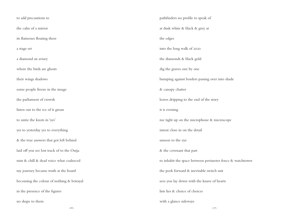-16- -17 to add precautions to the calm of a mirror its flatnesses floating there a stage set a diamond an aviary where the birds are ghosts their wings shadows some people freeze in the image the parliament of crowds listen out to the ice of it groan to untie the knots in 'yes' yes to yesterday yes to everything & the true answers that got left behind laid off you see lost track of to the Ouija mist & chill & dead voice what coalesced my journey became truth at the board becoming the colour of nothing & betrayal in the presence of the figures no shape to them pathfinders no profile to speak of at dusk white & black & grey at the edges into the long walk of 2020 the diamonds & black gold dig the graves one by one bumping against borders passing over into shade & canopy chatter leaves dripping to the end of the story it is evening me tight up on the microphone & microscope intent close in on the detail unseen to the eye & the covenant that part to inhabit the space between perimeter fence & watchtower the peek forward & inevitable switch suit sees you lay down with the knave of hearts lists lies & choice of choices with a glance sideways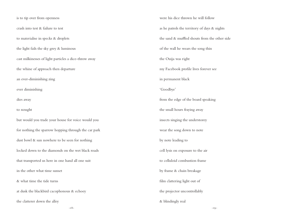is to tip over from openness crash into test & failure to test to materialise in specks & droplets the light fails the sky grey & luminous cast milkinesses of light particles a dice-throw away the whine of approach then departure an ever-diminishing zing ever diminishing dies away to nought but would you trade your house for voice would you for nothing the sparrow hopping through the car park dust bowl & sun nowhere to be seen for nothing locked down to the diamonds on the wet black roads that transported us here in one hand all one suit in the other what time sunset & what time the tide turns at dusk the blackbird cacophonous & echoey the clatterer down the alley

were his dice thrown he will follow as he patrols the territory of days & nights the sand & muffled shouts from the other side of the wall he wears the song thin the Ouija was right my Facebook profile lives forever see in permanent black 'Goodbye' from the edge of the board speaking the small hours fraying away insects singing the understorey wear the song down to note by note leading to cell lysis on exposure to the air to celluloid combustion frame by frame & chain breakage film clattering light out of the projector uncontrollably & blindingly real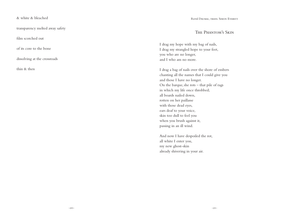transparency melted away safety

film scorched out

of its core to the bone

dissolving at the crossroads

thin & then

# The Phantom's Skin

I drag my hope with my bag of nails, I drag my strangled hope to your feet, you who are no longer, and I who am no more.

I drag a bag of nails over the shore of embers chanting all the names that I could give you and those I have no longer. On the barque, she rots – that pile of rags in which my life once throbbed; all boards nailed down, rotten on her paillasse with those dead eyes, ears deaf to your voice, skin too dull to feel you when you brush against it, passing in an ill wind.

And now I have despoiled the rot, all white I enter you, my new ghost-skin already shivering in your air.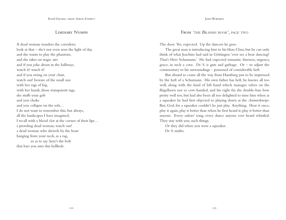# Liminary Nymph

A dead woman wanders the corridors; look at that – she's not even seen the light of day, and she wants to play the phantom, and she takes on tragic airs and if you joke about in the hallways, watch it! watch it! and if you swing on your chair, watch out! beware of the small one with her rags of fog, with her hands, those transparent rags, she stuffs your gob and you choke and you collapse on the sofa… I do not want to remember this, but always, all the landscapes I have imagined, I recall with a blood clot at the corner of their lips… a prowling dead woman, watch out! a dead woman who shrivels by the hour hanging from your neck, as a rag, so as to say: here's the bolt that bars you into this hellhole.

John Worthen

From *'the Brahms book', page two*

The door. Yes, expected. Up the dancers he goes.

The great man is introducing him to his bloss Clara, but he can only think of what Joachim had said in Göttingen: 'ever see a bear dancing? That's Herr Schumann.' He had expected romantic fineness, urgency, grace, in such a cove. Dr. S. is guts and garbage.  $Or - to$  adjust the commentary to his surroundings - possessed of considerable heft.

But absurd to come all the way from Hamburg just to be impressed by the heft of a Schumann. His own father has heft, he knows all too well, along with the kind of left hand which manages valves on the flügelhorn not so cow-handed, and his right fin the double-bass bow pretty well too, but had also been all too delighted to tune him when as a squeaker he had first objected to playing down at the *Animierkneipe*. But, God, for a squeaker couldn't he just play. Anything. Hear it once, play it again, play it better than when he first heard it, play it better than anyone. Every sailors' song, every dance anyone ever heard whistled. They stay with you, such things.

Or they did when you were a squeaker. Dr. S. smiles.